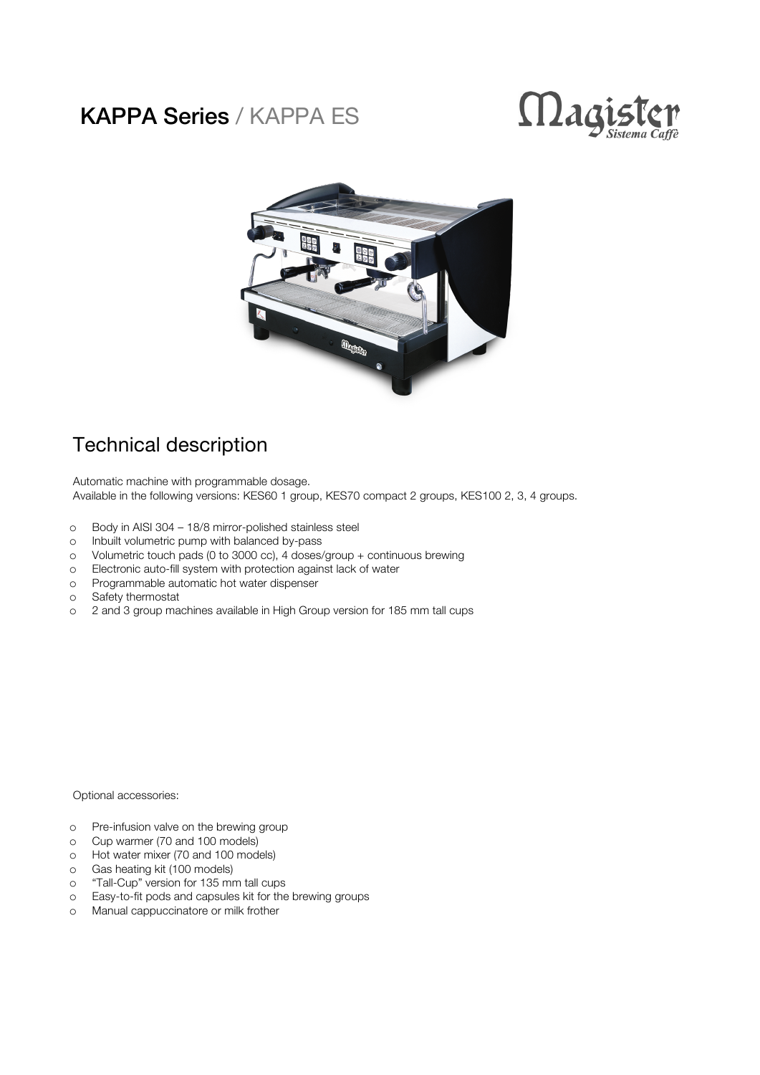## KAPPA Series / KAPPA ES





## Technical description

Automatic machine with programmable dosage. Available in the following versions: KES60 1 group, KES70 compact 2 groups, KES100 2, 3, 4 groups.

- o Body in AISI 304 18/8 mirror-polished stainless steel
- o Inbuilt volumetric pump with balanced by-pass
- o Volumetric touch pads (0 to 3000 cc), 4 doses/group + continuous brewing
- o Electronic auto-fill system with protection against lack of water
- o Programmable automatic hot water dispenser
- o Safety thermostat
- o 2 and 3 group machines available in High Group version for 185 mm tall cups

Optional accessories:

- o Pre-infusion valve on the brewing group
- o Cup warmer (70 and 100 models)
- o Hot water mixer (70 and 100 models)
- o Gas heating kit (100 models)
- o "Tall-Cup" version for 135 mm tall cups
- o Easy-to-fit pods and capsules kit for the brewing groups
- o Manual cappuccinatore or milk frother